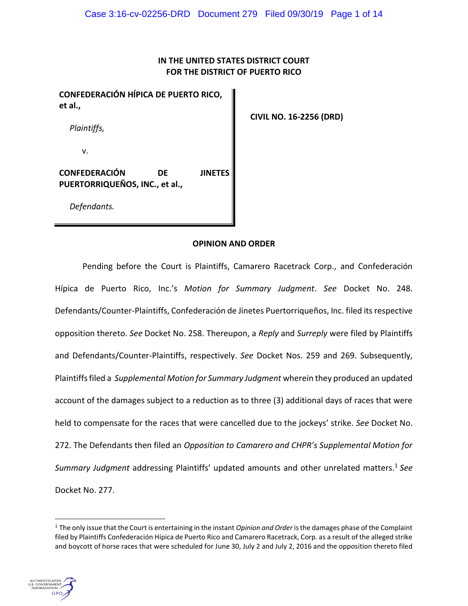# **IN THE UNITED STATES DISTRICT COURT FOR THE DISTRICT OF PUERTO RICO**

**CONFEDERACIÓN HÍPICA DE PUERTO RICO, et al.,**

*Plaintiffs,*

v.

**CONFEDERACIÓN DE JINETES PUERTORRIQUEÑOS, INC., et al.,**

*Defendants.*

## **OPINION AND ORDER**

Pending before the Court is Plaintiffs, Camarero Racetrack Corp., and Confederación Hípica de Puerto Rico, Inc.'s *Motion for Summary Judgment*. *See* Docket No. 248. Defendants/Counter-Plaintiffs, Confederación de Jinetes Puertorriqueños, Inc. filed its respective opposition thereto. *See* Docket No. 258. Thereupon, a *Reply* and *Surreply* were filed by Plaintiffs and Defendants/Counter-Plaintiffs, respectively. *See* Docket Nos. 259 and 269. Subsequently, Plaintiffs filed a *Supplemental Motion for Summary Judgment* wherein they produced an updated account of the damages subject to a reduction as to three (3) additional days of races that were held to compensate for the races that were cancelled due to the jockeys' strike. *See* Docket No. 272. The Defendants then filed an *Opposition to Camarero and CHPR's Supplemental Motion for Summary Judgment* addressing Plaintiffs' updated amounts and other unrelated matters. <sup>1</sup> *See* Docket No. 277.

<sup>1</sup> The only issue that the Court is entertaining in the instant *Opinion and Order* is the damages phase of the Complaint filed by Plaintiffs Confederación Hípica de Puerto Rico and Camarero Racetrack, Corp. as a result of the alleged strike and boycott of horse races that were scheduled for June 30, July 2 and July 2, 2016 and the opposition thereto filed



 $\overline{a}$ 

 **CIVIL NO. 16-2256 (DRD)**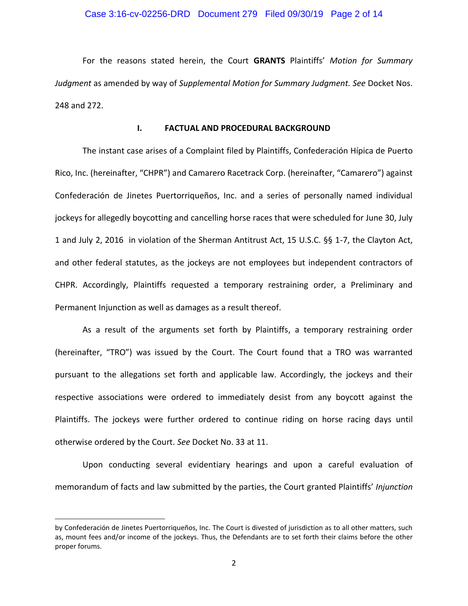#### Case 3:16-cv-02256-DRD Document 279 Filed 09/30/19 Page 2 of 14

For the reasons stated herein, the Court **GRANTS** Plaintiffs' *Motion for Summary Judgment* as amended by way of *Supplemental Motion for Summary Judgment. See* Docket Nos. 248 and 272.

### **I. FACTUAL AND PROCEDURAL BACKGROUND**

The instant case arises of a Complaint filed by Plaintiffs, Confederación Hípica de Puerto Rico, Inc. (hereinafter, "CHPR") and Camarero Racetrack Corp. (hereinafter, "Camarero") against Confederación de Jinetes Puertorriqueños, Inc. and a series of personally named individual jockeys for allegedly boycotting and cancelling horse races that were scheduled for June 30, July 1 and July 2, 2016 in violation of the Sherman Antitrust Act, 15 U.S.C. §§ 1-7, the Clayton Act, and other federal statutes, as the jockeys are not employees but independent contractors of CHPR. Accordingly, Plaintiffs requested a temporary restraining order, a Preliminary and Permanent Injunction as well as damages as a result thereof.

As a result of the arguments set forth by Plaintiffs, a temporary restraining order (hereinafter, "TRO") was issued by the Court. The Court found that a TRO was warranted pursuant to the allegations set forth and applicable law. Accordingly, the jockeys and their respective associations were ordered to immediately desist from any boycott against the Plaintiffs. The jockeys were further ordered to continue riding on horse racing days until otherwise ordered by the Court. *See* Docket No. 33 at 11.

Upon conducting several evidentiary hearings and upon a careful evaluation of memorandum of facts and law submitted by the parties, the Court granted Plaintiffs' *Injunction*

 $\overline{a}$ 

by Confederación de Jinetes Puertorriqueños, Inc. The Court is divested of jurisdiction as to all other matters, such as, mount fees and/or income of the jockeys. Thus, the Defendants are to set forth their claims before the other proper forums.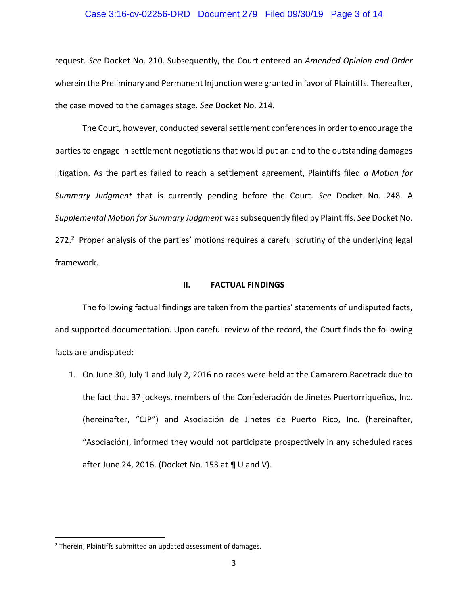#### Case 3:16-cv-02256-DRD Document 279 Filed 09/30/19 Page 3 of 14

request. *See* Docket No. 210. Subsequently, the Court entered an *Amended Opinion and Order*  wherein the Preliminary and Permanent Injunction were granted in favor of Plaintiffs. Thereafter, the case moved to the damages stage. *See* Docket No. 214.

The Court, however, conducted several settlement conferences in order to encourage the parties to engage in settlement negotiations that would put an end to the outstanding damages litigation. As the parties failed to reach a settlement agreement, Plaintiffs filed *a Motion for Summary Judgment* that is currently pending before the Court. *See* Docket No. 248. A *Supplemental Motion for Summary Judgment* was subsequently filed by Plaintiffs. *See* Docket No. 272.<sup>2</sup> Proper analysis of the parties' motions requires a careful scrutiny of the underlying legal framework.

#### **II. FACTUAL FINDINGS**

The following factual findings are taken from the parties' statements of undisputed facts, and supported documentation. Upon careful review of the record, the Court finds the following facts are undisputed:

1. On June 30, July 1 and July 2, 2016 no races were held at the Camarero Racetrack due to the fact that 37 jockeys, members of the Confederación de Jinetes Puertorriqueños, Inc. (hereinafter, "CJP") and Asociación de Jinetes de Puerto Rico, Inc. (hereinafter, "Asociación), informed they would not participate prospectively in any scheduled races after June 24, 2016. (Docket No. 153 at ¶ U and V).

 $\overline{\phantom{a}}$ 

<sup>2</sup> Therein, Plaintiffs submitted an updated assessment of damages.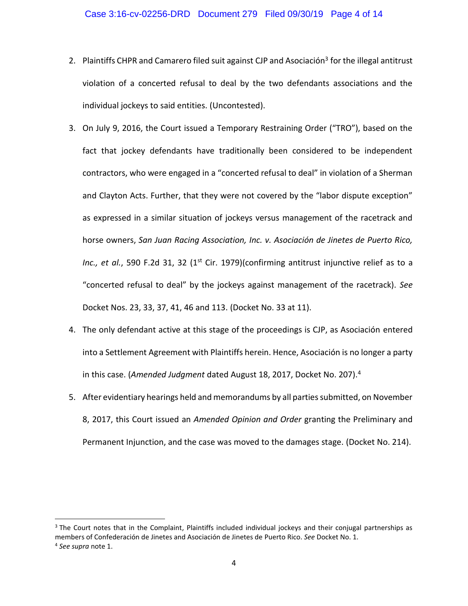- 2. Plaintiffs CHPR and Camarero filed suit against CJP and Asociación<sup>3</sup> for the illegal antitrust violation of a concerted refusal to deal by the two defendants associations and the individual jockeys to said entities. (Uncontested).
- 3. On July 9, 2016, the Court issued a Temporary Restraining Order ("TRO"), based on the fact that jockey defendants have traditionally been considered to be independent contractors, who were engaged in a "concerted refusal to deal" in violation of a Sherman and Clayton Acts. Further, that they were not covered by the "labor dispute exception" as expressed in a similar situation of jockeys versus management of the racetrack and horse owners, *San Juan Racing Association, Inc. v. Asociación de Jinetes de Puerto Rico,*  Inc., et al., 590 F.2d 31, 32 (1<sup>st</sup> Cir. 1979)(confirming antitrust injunctive relief as to a "concerted refusal to deal" by the jockeys against management of the racetrack). *See* Docket Nos. 23, 33, 37, 41, 46 and 113. (Docket No. 33 at 11).
- 4. The only defendant active at this stage of the proceedings is CJP, as Asociación entered into a Settlement Agreement with Plaintiffs herein. Hence, Asociación is no longer a party in this case. (*Amended Judgment* dated August 18, 2017, Docket No. 207).<sup>4</sup>
- 5. After evidentiary hearings held and memorandums by all parties submitted, on November 8, 2017, this Court issued an *Amended Opinion and Order* granting the Preliminary and Permanent Injunction, and the case was moved to the damages stage. (Docket No. 214).

 $\overline{a}$ 

<sup>&</sup>lt;sup>3</sup> The Court notes that in the Complaint, Plaintiffs included individual jockeys and their conjugal partnerships as members of Confederación de Jinetes and Asociación de Jinetes de Puerto Rico. *See* Docket No. 1. 4 *See supra* note 1.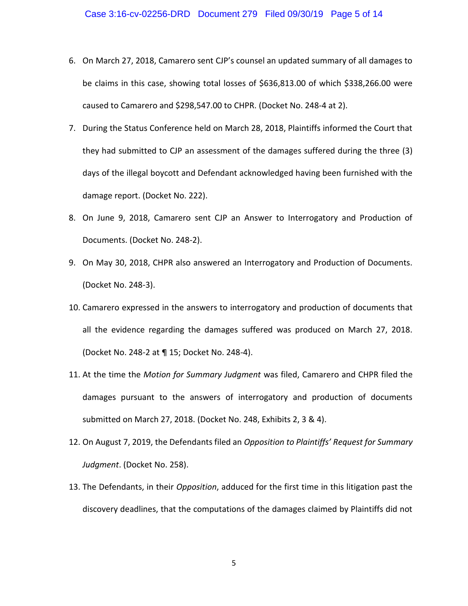- 6. On March 27, 2018, Camarero sent CJP's counsel an updated summary of all damages to be claims in this case, showing total losses of \$636,813.00 of which \$338,266.00 were caused to Camarero and \$298,547.00 to CHPR. (Docket No. 248-4 at 2).
- 7. During the Status Conference held on March 28, 2018, Plaintiffs informed the Court that they had submitted to CJP an assessment of the damages suffered during the three (3) days of the illegal boycott and Defendant acknowledged having been furnished with the damage report. (Docket No. 222).
- 8. On June 9, 2018, Camarero sent CJP an Answer to Interrogatory and Production of Documents. (Docket No. 248-2).
- 9. On May 30, 2018, CHPR also answered an Interrogatory and Production of Documents. (Docket No. 248-3).
- 10. Camarero expressed in the answers to interrogatory and production of documents that all the evidence regarding the damages suffered was produced on March 27, 2018. (Docket No. 248-2 at ¶ 15; Docket No. 248-4).
- 11. At the time the *Motion for Summary Judgment* was filed, Camarero and CHPR filed the damages pursuant to the answers of interrogatory and production of documents submitted on March 27, 2018. (Docket No. 248, Exhibits 2, 3 & 4).
- 12. On August 7, 2019, the Defendants filed an *Opposition to Plaintiffs' Request for Summary Judgment*. (Docket No. 258).
- 13. The Defendants, in their *Opposition*, adduced for the first time in this litigation past the discovery deadlines, that the computations of the damages claimed by Plaintiffs did not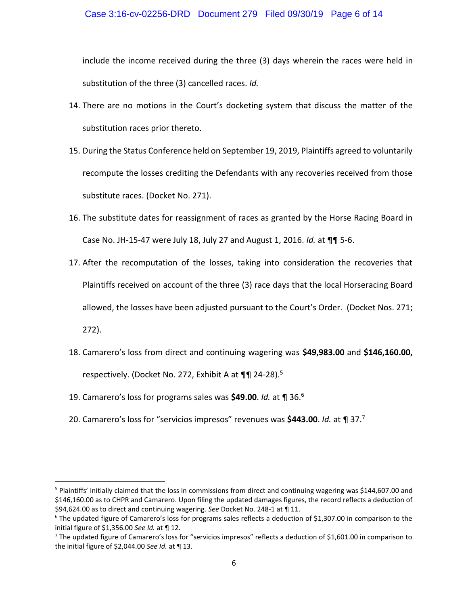## Case 3:16-cv-02256-DRD Document 279 Filed 09/30/19 Page 6 of 14

include the income received during the three (3) days wherein the races were held in substitution of the three (3) cancelled races. *Id.*

- 14. There are no motions in the Court's docketing system that discuss the matter of the substitution races prior thereto.
- 15. During the Status Conference held on September 19, 2019, Plaintiffs agreed to voluntarily recompute the losses crediting the Defendants with any recoveries received from those substitute races. (Docket No. 271).
- 16. The substitute dates for reassignment of races as granted by the Horse Racing Board in Case No. JH-15-47 were July 18, July 27 and August 1, 2016. *Id.* at ¶¶ 5-6.
- 17. After the recomputation of the losses, taking into consideration the recoveries that Plaintiffs received on account of the three (3) race days that the local Horseracing Board allowed, the losses have been adjusted pursuant to the Court's Order. (Docket Nos. 271; 272).
- 18. Camarero's loss from direct and continuing wagering was **\$49,983.00** and **\$146,160.00,**  respectively. (Docket No. 272, Exhibit A at ¶¶ 24-28).<sup>5</sup>
- 19. Camarero's loss for programs sales was **\$49.00**. *Id.* at ¶ 36.<sup>6</sup>

 $\overline{\phantom{a}}$ 

20. Camarero's loss for "servicios impresos" revenues was **\$443.00**. *Id.* at ¶ 37.<sup>7</sup>

<sup>5</sup> Plaintiffs' initially claimed that the loss in commissions from direct and continuing wagering was \$144,607.00 and \$146,160.00 as to CHPR and Camarero. Upon filing the updated damages figures, the record reflects a deduction of \$94,624.00 as to direct and continuing wagering. *See* Docket No. 248-1 at ¶ 11.

 $6$  The updated figure of Camarero's loss for programs sales reflects a deduction of \$1,307.00 in comparison to the initial figure of \$1,356.00 *See Id.* at ¶ 12.

 $7$  The updated figure of Camarero's loss for "servicios impresos" reflects a deduction of \$1,601.00 in comparison to the initial figure of \$2,044.00 *See Id.* at ¶ 13.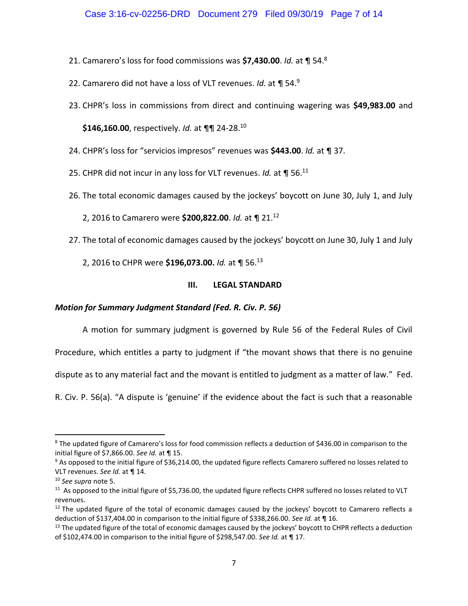- 21. Camarero's loss for food commissions was **\$7,430.00**. *Id.* at ¶ 54.<sup>8</sup>
- 22. Camarero did not have a loss of VLT revenues. *Id.* at ¶ 54.<sup>9</sup>
- 23. CHPR's loss in commissions from direct and continuing wagering was **\$49,983.00** and

**\$146,160.00**, respectively. *Id.* at ¶¶ 24-28.<sup>10</sup>

- 24. CHPR's loss for "servicios impresos" revenues was **\$443.00**. *Id.* at ¶ 37.
- 25. CHPR did not incur in any loss for VLT revenues. *Id.* at ¶ 56.<sup>11</sup>
- 26. The total economic damages caused by the jockeys' boycott on June 30, July 1, and July
	- 2, 2016 to Camarero were **\$200,822.00**. *Id.* at ¶ 21.<sup>12</sup>
- 27. The total of economic damages caused by the jockeys' boycott on June 30, July 1 and July
	- 2, 2016 to CHPR were **\$196,073.00.** *Id.* at ¶ 56.<sup>13</sup>

## **III. LEGAL STANDARD**

## *Motion for Summary Judgment Standard (Fed. R. Civ. P. 56)*

A motion for summary judgment is governed by Rule 56 of the Federal Rules of Civil

Procedure, which entitles a party to judgment if "the movant shows that there is no genuine

dispute as to any material fact and the movant is entitled to judgment as a matter of law." Fed.

R. Civ. P. 56(a). "A dispute is 'genuine' if the evidence about the fact is such that a reasonable

 $\overline{\phantom{a}}$ 

<sup>&</sup>lt;sup>8</sup> The updated figure of Camarero's loss for food commission reflects a deduction of \$436.00 in comparison to the initial figure of \$7,866.00. *See Id.* at ¶ 15.

<sup>&</sup>lt;sup>9</sup> As opposed to the initial figure of \$36,214.00, the updated figure reflects Camarero suffered no losses related to VLT revenues. *See Id.* at ¶ 14.

<sup>10</sup> *See supra* note 5.

 $11$  As opposed to the initial figure of \$5,736.00, the updated figure reflects CHPR suffered no losses related to VLT revenues.

 $12$  The updated figure of the total of economic damages caused by the jockeys' boycott to Camarero reflects a deduction of \$137,404.00 in comparison to the initial figure of \$338,266.00. *See Id.* at ¶ 16.

 $13$  The updated figure of the total of economic damages caused by the jockeys' boycott to CHPR reflects a deduction of \$102,474.00 in comparison to the initial figure of \$298,547.00. *See Id.* at ¶ 17.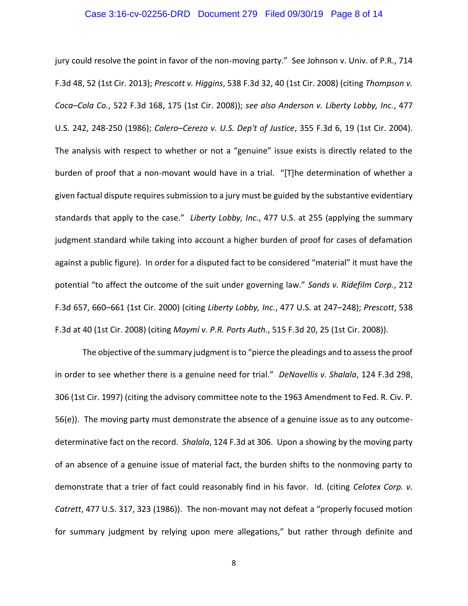#### Case 3:16-cv-02256-DRD Document 279 Filed 09/30/19 Page 8 of 14

jury could resolve the point in favor of the non-moving party." See Johnson v. Univ. of P.R., 714 F.3d 48, 52 (1st Cir. 2013); *Prescott v. Higgins*, 538 F.3d 32, 40 (1st Cir. 2008) (citing *Thompson v. Coca–Cola Co.*, 522 F.3d 168, 175 (1st Cir. 2008)); *see also Anderson v. Liberty Lobby, Inc.*, 477 U.S. 242, 248-250 (1986); *Calero–Cerezo v. U.S. Dep't of Justice*, 355 F.3d 6, 19 (1st Cir. 2004). The analysis with respect to whether or not a "genuine" issue exists is directly related to the burden of proof that a non-movant would have in a trial. "[T]he determination of whether a given factual dispute requires submission to a jury must be guided by the substantive evidentiary standards that apply to the case." *Liberty Lobby, Inc.*, 477 U.S. at 255 (applying the summary judgment standard while taking into account a higher burden of proof for cases of defamation against a public figure). In order for a disputed fact to be considered "material" it must have the potential "to affect the outcome of the suit under governing law." *Sands v. Ridefilm Corp.*, 212 F.3d 657, 660–661 (1st Cir. 2000) (citing *Liberty Lobby, Inc.*, 477 U.S. at 247–248); *Prescott*, 538 F.3d at 40 (1st Cir. 2008) (citing *Maymí v. P.R. Ports Auth.*, 515 F.3d 20, 25 (1st Cir. 2008)).

The objective of the summary judgment is to "pierce the pleadings and to assess the proof in order to see whether there is a genuine need for trial." *DeNovellis v. Shalala*, 124 F.3d 298, 306 (1st Cir. 1997) (citing the advisory committee note to the 1963 Amendment to Fed. R. Civ. P. 56(e)). The moving party must demonstrate the absence of a genuine issue as to any outcomedeterminative fact on the record. *Shalala*, 124 F.3d at 306. Upon a showing by the moving party of an absence of a genuine issue of material fact, the burden shifts to the nonmoving party to demonstrate that a trier of fact could reasonably find in his favor. Id. (citing *Celotex Corp. v. Catrett*, 477 U.S. 317, 323 (1986)). The non-movant may not defeat a "properly focused motion for summary judgment by relying upon mere allegations," but rather through definite and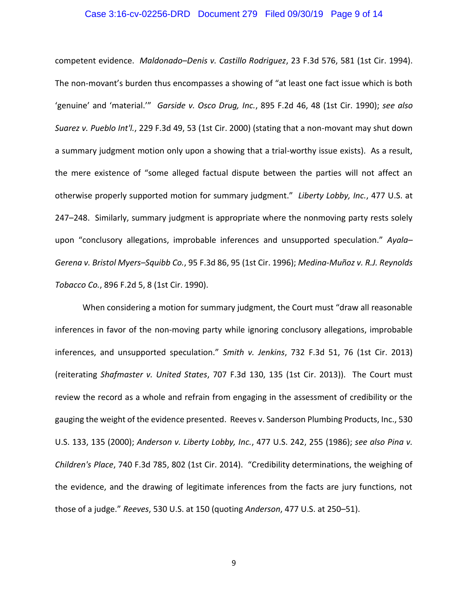#### Case 3:16-cv-02256-DRD Document 279 Filed 09/30/19 Page 9 of 14

competent evidence. *Maldonado–Denis v. Castillo Rodriguez*, 23 F.3d 576, 581 (1st Cir. 1994). The non-movant's burden thus encompasses a showing of "at least one fact issue which is both 'genuine' and 'material.'" *Garside v. Osco Drug, Inc.*, 895 F.2d 46, 48 (1st Cir. 1990); *see also Suarez v. Pueblo Int'l.*, 229 F.3d 49, 53 (1st Cir. 2000) (stating that a non-movant may shut down a summary judgment motion only upon a showing that a trial-worthy issue exists). As a result, the mere existence of "some alleged factual dispute between the parties will not affect an otherwise properly supported motion for summary judgment." *Liberty Lobby, Inc.*, 477 U.S. at 247–248. Similarly, summary judgment is appropriate where the nonmoving party rests solely upon "conclusory allegations, improbable inferences and unsupported speculation." *Ayala– Gerena v. Bristol Myers–Squibb Co.*, 95 F.3d 86, 95 (1st Cir. 1996); *Medina-Muñoz v. R.J. Reynolds Tobacco Co.*, 896 F.2d 5, 8 (1st Cir. 1990).

When considering a motion for summary judgment, the Court must "draw all reasonable inferences in favor of the non-moving party while ignoring conclusory allegations, improbable inferences, and unsupported speculation." *Smith v. Jenkins*, 732 F.3d 51, 76 (1st Cir. 2013) (reiterating *Shafmaster v. United States*, 707 F.3d 130, 135 (1st Cir. 2013)). The Court must review the record as a whole and refrain from engaging in the assessment of credibility or the gauging the weight of the evidence presented. Reeves v. Sanderson Plumbing Products, Inc., 530 U.S. 133, 135 (2000); *Anderson v. Liberty Lobby, Inc.*, 477 U.S. 242, 255 (1986); *see also Pina v. Children's Place*, 740 F.3d 785, 802 (1st Cir. 2014). "Credibility determinations, the weighing of the evidence, and the drawing of legitimate inferences from the facts are jury functions, not those of a judge." *Reeves*, 530 U.S. at 150 (quoting *Anderson*, 477 U.S. at 250–51).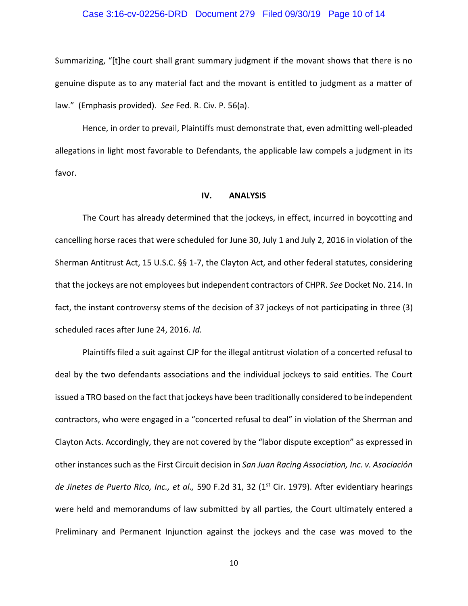#### Case 3:16-cv-02256-DRD Document 279 Filed 09/30/19 Page 10 of 14

Summarizing, "[t]he court shall grant summary judgment if the movant shows that there is no genuine dispute as to any material fact and the movant is entitled to judgment as a matter of law." (Emphasis provided). *See* Fed. R. Civ. P. 56(a).

Hence, in order to prevail, Plaintiffs must demonstrate that, even admitting well-pleaded allegations in light most favorable to Defendants, the applicable law compels a judgment in its favor.

#### **IV. ANALYSIS**

The Court has already determined that the jockeys, in effect, incurred in boycotting and cancelling horse races that were scheduled for June 30, July 1 and July 2, 2016 in violation of the Sherman Antitrust Act, 15 U.S.C. §§ 1-7, the Clayton Act, and other federal statutes, considering that the jockeys are not employees but independent contractors of CHPR. *See* Docket No. 214. In fact, the instant controversy stems of the decision of 37 jockeys of not participating in three (3) scheduled races after June 24, 2016. *Id.*

Plaintiffs filed a suit against CJP for the illegal antitrust violation of a concerted refusal to deal by the two defendants associations and the individual jockeys to said entities. The Court issued a TRO based on the fact that jockeys have been traditionally considered to be independent contractors, who were engaged in a "concerted refusal to deal" in violation of the Sherman and Clayton Acts. Accordingly, they are not covered by the "labor dispute exception" as expressed in other instances such as the First Circuit decision in *San Juan Racing Association, Inc. v. Asociación de Jinetes de Puerto Rico, Inc., et al.,* 590 F.2d 31, 32 (1st Cir. 1979). After evidentiary hearings were held and memorandums of law submitted by all parties, the Court ultimately entered a Preliminary and Permanent Injunction against the jockeys and the case was moved to the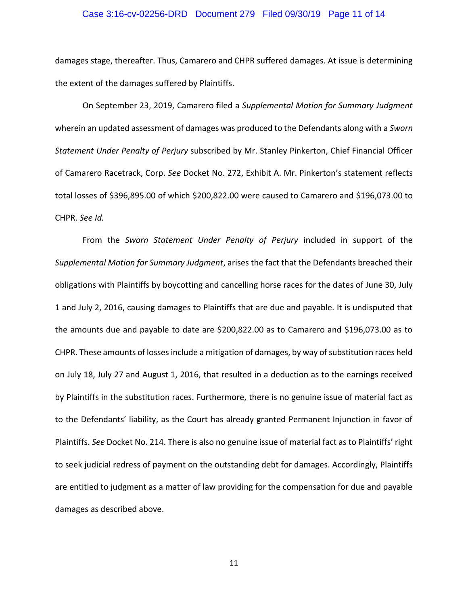#### Case 3:16-cv-02256-DRD Document 279 Filed 09/30/19 Page 11 of 14

damages stage, thereafter. Thus, Camarero and CHPR suffered damages. At issue is determining the extent of the damages suffered by Plaintiffs.

On September 23, 2019, Camarero filed a *Supplemental Motion for Summary Judgment* wherein an updated assessment of damages was produced to the Defendants along with a *Sworn Statement Under Penalty of Perjury* subscribed by Mr. Stanley Pinkerton, Chief Financial Officer of Camarero Racetrack, Corp. *See* Docket No. 272, Exhibit A. Mr. Pinkerton's statement reflects total losses of \$396,895.00 of which \$200,822.00 were caused to Camarero and \$196,073.00 to CHPR. *See Id.*

From the *Sworn Statement Under Penalty of Perjury* included in support of the *Supplemental Motion for Summary Judgment*, arises the fact that the Defendants breached their obligations with Plaintiffs by boycotting and cancelling horse races for the dates of June 30, July 1 and July 2, 2016, causing damages to Plaintiffs that are due and payable. It is undisputed that the amounts due and payable to date are \$200,822.00 as to Camarero and \$196,073.00 as to CHPR. These amounts of losses include a mitigation of damages, by way of substitution races held on July 18, July 27 and August 1, 2016, that resulted in a deduction as to the earnings received by Plaintiffs in the substitution races. Furthermore, there is no genuine issue of material fact as to the Defendants' liability, as the Court has already granted Permanent Injunction in favor of Plaintiffs. *See* Docket No. 214. There is also no genuine issue of material fact as to Plaintiffs' right to seek judicial redress of payment on the outstanding debt for damages. Accordingly, Plaintiffs are entitled to judgment as a matter of law providing for the compensation for due and payable damages as described above.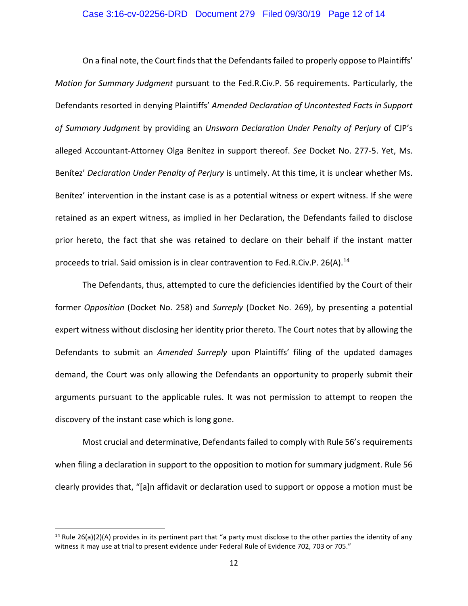#### Case 3:16-cv-02256-DRD Document 279 Filed 09/30/19 Page 12 of 14

On a final note, the Court finds that the Defendants failed to properly oppose to Plaintiffs' *Motion for Summary Judgment* pursuant to the Fed.R.Civ.P. 56 requirements. Particularly, the Defendants resorted in denying Plaintiffs' *Amended Declaration of Uncontested Facts in Support of Summary Judgment* by providing an *Unsworn Declaration Under Penalty of Perjury* of CJP's alleged Accountant-Attorney Olga Benítez in support thereof. *See* Docket No. 277-5. Yet, Ms. Benítez' *Declaration Under Penalty of Perjury* is untimely. At this time, it is unclear whether Ms. Benítez' intervention in the instant case is as a potential witness or expert witness. If she were retained as an expert witness, as implied in her Declaration, the Defendants failed to disclose prior hereto, the fact that she was retained to declare on their behalf if the instant matter proceeds to trial. Said omission is in clear contravention to Fed.R.Civ.P. 26(A).<sup>14</sup>

The Defendants, thus, attempted to cure the deficiencies identified by the Court of their former *Opposition* (Docket No. 258) and *Surreply* (Docket No. 269), by presenting a potential expert witness without disclosing her identity prior thereto. The Court notes that by allowing the Defendants to submit an *Amended Surreply* upon Plaintiffs' filing of the updated damages demand, the Court was only allowing the Defendants an opportunity to properly submit their arguments pursuant to the applicable rules. It was not permission to attempt to reopen the discovery of the instant case which is long gone.

Most crucial and determinative, Defendants failed to comply with Rule 56's requirements when filing a declaration in support to the opposition to motion for summary judgment. Rule 56 clearly provides that, "[a]n affidavit or declaration used to support or oppose a motion must be

 $\overline{\phantom{a}}$ 

<sup>&</sup>lt;sup>14</sup> Rule 26(a)(2)(A) provides in its pertinent part that "a party must disclose to the other parties the identity of any witness it may use at trial to present evidence under Federal Rule of Evidence 702, 703 or 705."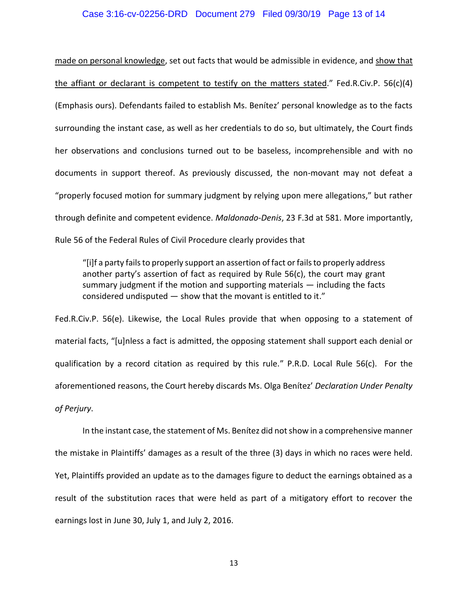#### Case 3:16-cv-02256-DRD Document 279 Filed 09/30/19 Page 13 of 14

made on personal knowledge, set out facts that would be admissible in evidence, and show that the affiant or declarant is competent to testify on the matters stated." Fed.R.Civ.P. 56(c)(4) (Emphasis ours). Defendants failed to establish Ms. Benítez' personal knowledge as to the facts surrounding the instant case, as well as her credentials to do so, but ultimately, the Court finds her observations and conclusions turned out to be baseless, incomprehensible and with no documents in support thereof. As previously discussed, the non-movant may not defeat a "properly focused motion for summary judgment by relying upon mere allegations," but rather through definite and competent evidence. *Maldonado-Denis*, 23 F.3d at 581. More importantly, Rule 56 of the Federal Rules of Civil Procedure clearly provides that

"[i]f a party fails to properly support an assertion of fact or fails to properly address another party's assertion of fact as required by Rule 56(c), the court may grant summary judgment if the motion and supporting materials — including the facts considered undisputed — show that the movant is entitled to it."

Fed.R.Civ.P. 56(e). Likewise, the Local Rules provide that when opposing to a statement of material facts, "[u]nless a fact is admitted, the opposing statement shall support each denial or qualification by a record citation as required by this rule." P.R.D. Local Rule 56(c). For the aforementioned reasons, the Court hereby discards Ms. Olga Benítez' *Declaration Under Penalty of Perjury*.

In the instant case, the statement of Ms. Benítez did not show in a comprehensive manner the mistake in Plaintiffs' damages as a result of the three (3) days in which no races were held. Yet, Plaintiffs provided an update as to the damages figure to deduct the earnings obtained as a result of the substitution races that were held as part of a mitigatory effort to recover the earnings lost in June 30, July 1, and July 2, 2016.

13